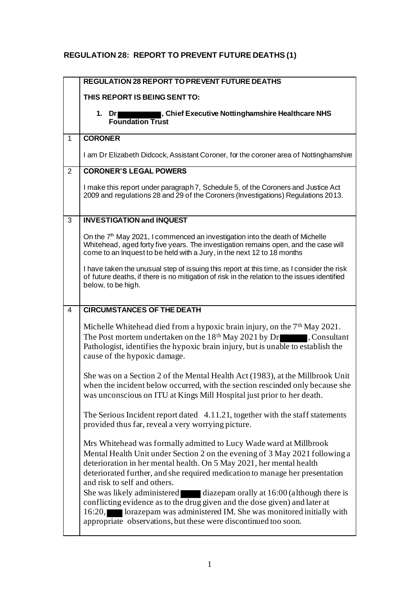## **REGULATION 28: REPORT TO PREVENT FUTURE DEATHS (1)**

|                | <b>REGULATION 28 REPORT TO PREVENT FUTURE DEATHS</b>                                                                                                                                                                                                                                                                                                                                                                                                                                                                                                                                                                                                  |
|----------------|-------------------------------------------------------------------------------------------------------------------------------------------------------------------------------------------------------------------------------------------------------------------------------------------------------------------------------------------------------------------------------------------------------------------------------------------------------------------------------------------------------------------------------------------------------------------------------------------------------------------------------------------------------|
|                | THIS REPORT IS BEING SENT TO:                                                                                                                                                                                                                                                                                                                                                                                                                                                                                                                                                                                                                         |
|                | , Chief Executive Nottinghamshire Healthcare NHS<br>1. Dr<br><b>Foundation Trust</b>                                                                                                                                                                                                                                                                                                                                                                                                                                                                                                                                                                  |
| $\mathbf{1}$   | <b>CORONER</b>                                                                                                                                                                                                                                                                                                                                                                                                                                                                                                                                                                                                                                        |
|                | I am Dr Elizabeth Didcock, Assistant Coroner, for the coroner area of Nottinghamshire                                                                                                                                                                                                                                                                                                                                                                                                                                                                                                                                                                 |
| $\overline{2}$ | <b>CORONER'S LEGAL POWERS</b>                                                                                                                                                                                                                                                                                                                                                                                                                                                                                                                                                                                                                         |
|                | I make this report under paragraph 7, Schedule 5, of the Coroners and Justice Act<br>2009 and regulations 28 and 29 of the Coroners (Investigations) Regulations 2013.                                                                                                                                                                                                                                                                                                                                                                                                                                                                                |
| 3              | <b>INVESTIGATION and INQUEST</b>                                                                                                                                                                                                                                                                                                                                                                                                                                                                                                                                                                                                                      |
|                | On the 7 <sup>th</sup> May 2021, I commenced an investigation into the death of Michelle<br>Whitehead, aged forty five years. The investigation remains open, and the case will<br>come to an Inquest to be held with a Jury, in the next 12 to 18 months                                                                                                                                                                                                                                                                                                                                                                                             |
|                | I have taken the unusual step of issuing this report at this time, as I consider the risk<br>of future deaths, if there is no mitigation of risk in the relation to the issues identified<br>below, to be high.                                                                                                                                                                                                                                                                                                                                                                                                                                       |
| 4              | <b>CIRCUMSTANCES OF THE DEATH</b>                                                                                                                                                                                                                                                                                                                                                                                                                                                                                                                                                                                                                     |
|                | Michelle Whitehead died from a hypoxic brain injury, on the $7th$ May 2021.<br>The Post mortem undertaken on the 18 <sup>th</sup> May 2021 by Dr<br>, Consultant<br>Pathologist, identifies the hypoxic brain injury, but is unable to establish the<br>cause of the hypoxic damage.                                                                                                                                                                                                                                                                                                                                                                  |
|                | She was on a Section 2 of the Mental Health Act (1983), at the Millbrook Unit<br>when the incident below occurred, with the section rescinded only because she<br>was unconscious on ITU at Kings Mill Hospital just prior to her death.                                                                                                                                                                                                                                                                                                                                                                                                              |
|                | The Serious Incident report dated 4.11.21, together with the staff statements<br>provided thus far, reveal a very worrying picture.                                                                                                                                                                                                                                                                                                                                                                                                                                                                                                                   |
|                | Mrs Whitehead was formally admitted to Lucy Wade ward at Millbrook<br>Mental Health Unit under Section 2 on the evening of 3 May 2021 following a<br>deterioration in her mental health. On 5 May 2021, her mental health<br>deteriorated further, and she required medication to manage her presentation<br>and risk to self and others.<br>She was likely administered<br>diazepam orally at 16:00 (although there is<br>conflicting evidence as to the drug given and the dose given) and later at<br>lorazepam was administered IM. She was monitored initially with<br>16:20,<br>appropriate observations, but these were discontinued too soon. |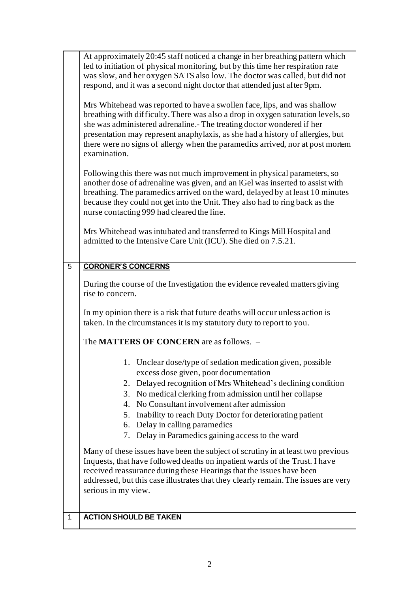|   | At approximately 20:45 staff noticed a change in her breathing pattern which<br>led to initiation of physical monitoring, but by this time her respiration rate<br>was slow, and her oxygen SATS also low. The doctor was called, but did not<br>respond, and it was a second night doctor that attended just after 9pm.<br>Mrs Whitehead was reported to have a swollen face, lips, and was shallow<br>breathing with difficulty. There was also a drop in oxygen saturation levels, so<br>she was administered adrenaline. The treating doctor wondered if her<br>presentation may represent anaphylaxis, as she had a history of allergies, but<br>there were no signs of allergy when the paramedics arrived, nor at post mortem<br>examination.<br>Following this there was not much improvement in physical parameters, so<br>another dose of adrenaline was given, and an iGel was inserted to assist with<br>breathing. The paramedics arrived on the ward, delayed by at least 10 minutes<br>because they could not get into the Unit. They also had to ring back as the<br>nurse contacting 999 had cleared the line.<br>Mrs Whitehead was intubated and transferred to Kings Mill Hospital and<br>admitted to the Intensive Care Unit (ICU). She died on 7.5.21. |
|---|-----------------------------------------------------------------------------------------------------------------------------------------------------------------------------------------------------------------------------------------------------------------------------------------------------------------------------------------------------------------------------------------------------------------------------------------------------------------------------------------------------------------------------------------------------------------------------------------------------------------------------------------------------------------------------------------------------------------------------------------------------------------------------------------------------------------------------------------------------------------------------------------------------------------------------------------------------------------------------------------------------------------------------------------------------------------------------------------------------------------------------------------------------------------------------------------------------------------------------------------------------------------------------|
|   |                                                                                                                                                                                                                                                                                                                                                                                                                                                                                                                                                                                                                                                                                                                                                                                                                                                                                                                                                                                                                                                                                                                                                                                                                                                                             |
| 5 | <b>CORONER'S CONCERNS</b>                                                                                                                                                                                                                                                                                                                                                                                                                                                                                                                                                                                                                                                                                                                                                                                                                                                                                                                                                                                                                                                                                                                                                                                                                                                   |
|   | During the course of the Investigation the evidence revealed matters giving<br>rise to concern.                                                                                                                                                                                                                                                                                                                                                                                                                                                                                                                                                                                                                                                                                                                                                                                                                                                                                                                                                                                                                                                                                                                                                                             |
|   | In my opinion there is a risk that future deaths will occur unless action is<br>taken. In the circumstances it is my statutory duty to report to you.                                                                                                                                                                                                                                                                                                                                                                                                                                                                                                                                                                                                                                                                                                                                                                                                                                                                                                                                                                                                                                                                                                                       |
|   | The <b>MATTERS OF CONCERN</b> are as follows. -                                                                                                                                                                                                                                                                                                                                                                                                                                                                                                                                                                                                                                                                                                                                                                                                                                                                                                                                                                                                                                                                                                                                                                                                                             |
|   | 1. Unclear dose/type of sedation medication given, possible<br>excess dose given, poor documentation<br>2. Delayed recognition of Mrs Whitehead's declining condition<br>3. No medical clerking from admission until her collapse<br>4. No Consultant involvement after admission<br>5. Inability to reach Duty Doctor for deteriorating patient<br>6. Delay in calling paramedics<br>Delay in Paramedics gaining access to the ward<br>7.                                                                                                                                                                                                                                                                                                                                                                                                                                                                                                                                                                                                                                                                                                                                                                                                                                  |
|   | Many of these issues have been the subject of scrutiny in at least two previous<br>Inquests, that have followed deaths on inpatient wards of the Trust. I have<br>received reassurance during these Hearings that the issues have been<br>addressed, but this case illustrates that they clearly remain. The issues are very<br>serious in my view.                                                                                                                                                                                                                                                                                                                                                                                                                                                                                                                                                                                                                                                                                                                                                                                                                                                                                                                         |
| 1 | <b>ACTION SHOULD BE TAKEN</b>                                                                                                                                                                                                                                                                                                                                                                                                                                                                                                                                                                                                                                                                                                                                                                                                                                                                                                                                                                                                                                                                                                                                                                                                                                               |